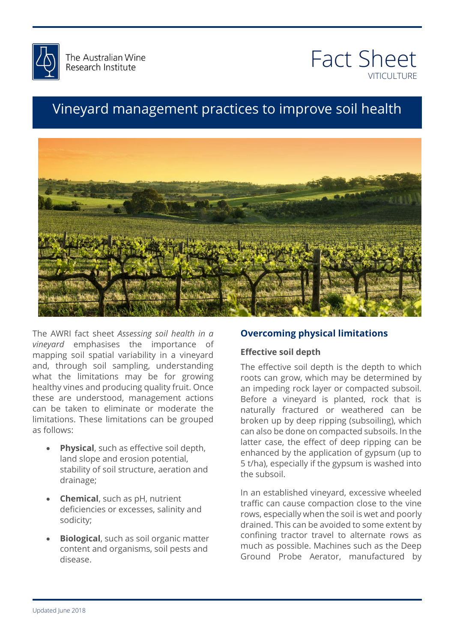



## Vineyard management practices to improve soil health



The AWRI fact sheet *Assessing soil health in a vineyard* emphasises the importance of mapping soil spatial variability in a vineyard and, through soil sampling, understanding what the limitations may be for growing healthy vines and producing quality fruit. Once these are understood, management actions can be taken to eliminate or moderate the limitations. These limitations can be grouped as follows:

- **Physical**, such as effective soil depth, land slope and erosion potential, stability of soil structure, aeration and drainage;
- **Chemical**, such as pH, nutrient deficiencies or excesses, salinity and sodicity;
- **Biological**, such as soil organic matter content and organisms, soil pests and disease.

#### **Overcoming physical limitations**

## there is anything **Effective soil depth**

e enective son depth is the depth to which<br>ofts can grow, which may be determined by<br>impeding rock layer or compacted subsoil vineyard is planted, rock that is<br>fractured or weathered can be<br>n by deep rinning (subsoiling) which can also be done on compacted subsolls. In the<br>latter case, the effect of deep ripping can be<br>enhanced by the application of gynsum (up to 5 t/ha), especially if the gypsum is washed into<br>the subsoil. The effective soil depth is the depth to which roots can grow, which may be determined by an impeding rock layer or compacted subsoil. Before a vineyard is planted, rock that is naturally fractured or weathered can be broken up by deep ripping (subsoiling), which can also be done on compacted subsoils. In the enhanced by the application of gypsum (up to the subsoil.

reyard, excessive wrieere<br>mpaction close to the vin<br>in the soil is wet and poor! In an established vineyard, excessive wheeled traffic can cause compaction close to the vine rows, especially when the soil is wet and poorly drained. This can be avoided to some extent by confining tractor travel to alternate rows as much as possible. Machines such as the Deep Ground Probe Aerator, manufactured by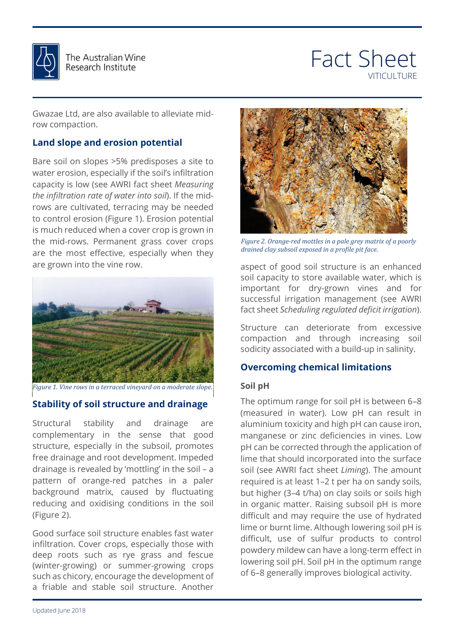

## Fact Sheet **VITICULTURE**

Gwazae Ltd, are also available to alleviate midrow compaction.

#### **Land slope and erosion potential**

Bare soil on slopes >5% predisposes a site to water erosion, especially if the soil's infiltration capacity is low (see AWRI fact sheet *Measuring the infiltration rate of water into soil*). If the midrows are cultivated, terracing may be needed to control erosion (Figure 1). Erosion potential is much reduced when a cover crop is grown in the mid-rows. Permanent grass cover crops are the most effective, especially when they are grown into the vine row.



*Figure 1. Vine rows in a terraced vineyard on a moderate slope.*

#### **Stability of soil structure and drainage**

Structural stability and drainage are complementary in the sense that good structure, especially in the subsoil, promotes free drainage and root development. Impeded drainage is revealed by 'mottling' in the soil – a pattern of orange-red patches in a paler background matrix, caused by fluctuating reducing and oxidising conditions in the soil (Figure 2).

Good surface soil structure enables fast water infiltration. Cover crops, especially those with deep roots such as rye grass and fescue (winter-growing) or summer-growing crops such as chicory, encourage the development of a friable and stable soil structure. Another



*drained clay subsoil exposed in a profile pit face.*<br> **a** and the *drained clay subsoil exposed in a profile pit face. Figure 2. Orange-red mottles in a pale grey matrix of a poorly* 

attached signed important for dry-grown vines and for fact sheet *Scheduling regulated deficit irrigation*).<br>Structure \_can\_\_deteriorate\_\_frem\_\_excessive aspect of good soil structure is an enhanced soil capacity to store available water, which is successful irrigation management (see AWRI

compaction and through increasing soil<br>sodicity associated with a build-up in-salinity. Structure can deteriorate from excessive compaction and through increasing soil

# **Overcoming chemical limitations<br>Soil pH**

#### **Soil pH**

The optimum range for soil pH is between 6–8<br>(measured in water). Low pH can result in manganese or zinc deficiencies in vines. Low<br>pH can be corrected through the application of and that should mest perfaced medicine can be<br>24/12, soil (see AWRI fact sheet *Liming*). The amount<br>required is at least 1–2 t per ha on sandy soils. but nigher (3–4 t/ha) on clay solis or solis nigh<br>in organic matter. Raising subsoil pH is more<br>difficult and mou require the use of budgeted The optimum range for soil pH is between 6–8 aluminium toxicity and high pH can cause iron, manganese or zinc deficiencies in vines. Low lime that should incorporated into the surface required is at least 1–2 t per ha on sandy soils, but higher (3–4 t/ha) on clay soils or soils high difficult and may require the use of hydrated lime or burnt lime. Although lowering soil pH is difficult, use of sulfur products to control powdery mildew can have a long-term effect in lowering soil pH. Soil pH in the optimum range of 6–8 generally improves biological activity.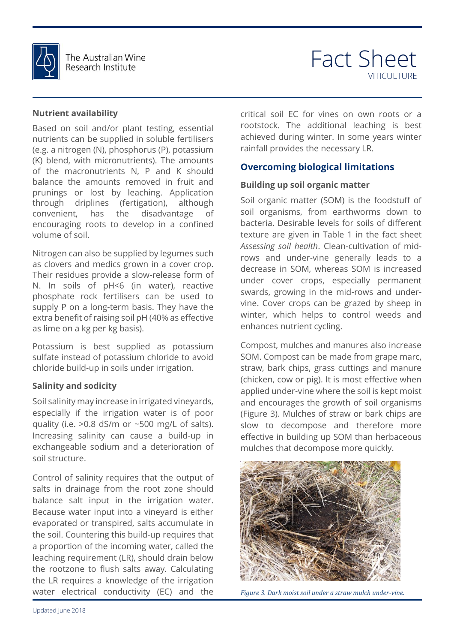

## Fact Sheet VITICULTURE

#### **Nutrient availability**

Based on soil and/or plant testing, essential nutrients can be supplied in soluble fertilisers (e.g. a nitrogen (N), phosphorus (P), potassium (K) blend, with micronutrients). The amounts of the macronutrients N, P and K should balance the amounts removed in fruit and prunings or lost by leaching. Application through driplines (fertigation), although convenient, has the disadvantage of encouraging roots to develop in a confined volume of soil.

Nitrogen can also be supplied by legumes such as clovers and medics grown in a cover crop. Their residues provide a slow-release form of N. In soils of pH<6 (in water), reactive phosphate rock fertilisers can be used to supply P on a long-term basis. They have the extra benefit of raising soil pH (40% as effective as lime on a kg per kg basis).

Potassium is best supplied as potassium sulfate instead of potassium chloride to avoid chloride build-up in soils under irrigation.

#### **Salinity and sodicity**

Soil salinity may increase in irrigated vineyards, especially if the irrigation water is of poor quality (i.e.  $>0.8$  dS/m or  $\sim$ 500 mg/L of salts). Increasing salinity can cause a build-up in exchangeable sodium and a deterioration of soil structure.

Control of salinity requires that the output of salts in drainage from the root zone should balance salt input in the irrigation water. Because water input into a vineyard is either evaporated or transpired, salts accumulate in the soil. Countering this build-up requires that a proportion of the incoming water, called the leaching requirement (LR), should drain below the rootzone to flush salts away. Calculating the LR requires a knowledge of the irrigation water electrical conductivity (EC) and the

critical soil EC for vines on own roots or a rootstock. The additional leaching is best achieved during winter. In some years winter rainfall provides the necessary LR.

#### **Overcoming biological limitations**

#### **Building up soil organic matter**

Ass*essing soil health*. Clean-cultivation of mid-<br>rows and under-vine generally leads to a under cover crops, especially permanent<br>swards, growing in the mid-rows and under- $\frac{1}{1}$  helps to control weeds and<br>rient cycling Soil organic matter (SOM) is the foodstuff of soil organisms, from earthworms down to bacteria. Desirable levels for soils of different texture are given in Table 1 in the fact sheet *Assessing soil health*. Clean-cultivation of middecrease in SOM, whereas SOM is increased under cover crops, especially permanent vine. Cover crops can be grazed by sheep in winter, which helps to control weeds and enhances nutrient cycling.

Compost, mulches and manures also increase<br>SOM. Compost can be made from grape marc. straw, bark chips, grass cuttings and manure<br>(chicken, cow or pig). It is most effective when<br>explied weder vise where the seil is kept moist. and encourages the growth of soil organisms<br>(Figure 3). Mulches of straw or bark chips are effective in building up SOM than herbaceous<br>mulches that decompose more quickly. SOM. Compost can be made from grape marc, straw, bark chips, grass cuttings and manure applied under-vine where the soil is kept moist and encourages the growth of soil organisms slow to decompose and therefore more mulches that decompose more quickly.



*Figure 3. Dark moist soil under a straw mulch under-vine.*